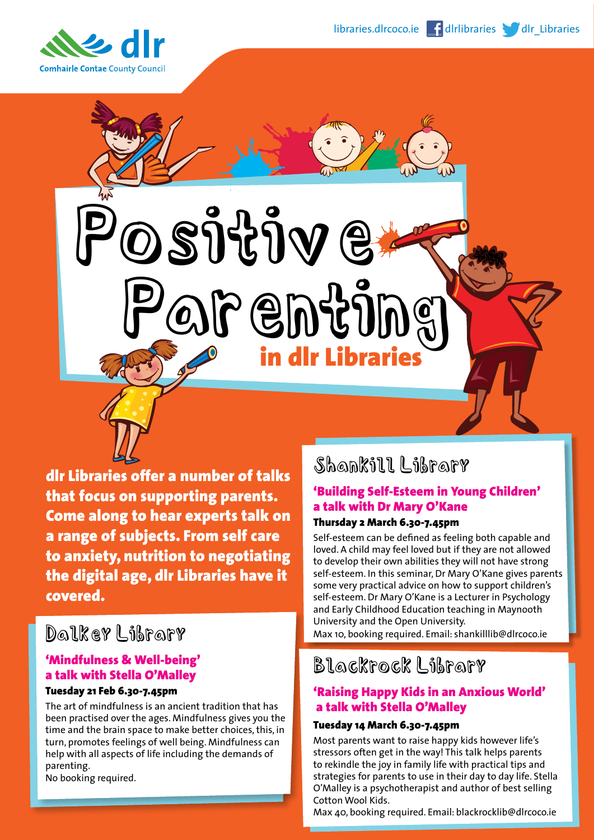

dlr Libraries offer a number of talks that focus on supporting parents. Come along to hear experts talk on a range of subjects. From self care to anxiety, nutrition to negotiating the digital age, dlr Libraries have it covered.

OSJIJV E

Parenting

in dlr Libraries

# Dalkey Library

## 'Mindfulness & Well-being' a talk with Stella O'Malley

### Tuesday 21 Feb 6.30-7.45pm

The art of mindfulness is an ancient tradition that has been practised over the ages. Mindfulness gives you the time and the brain space to make better choices, this, in turn, promotes feelings of well being. Mindfulness can help with all aspects of life including the demands of parenting. No booking required.

# Shankill Library

## 'Building Self-Esteem in Young Children' a talk with Dr Mary O'Kane

### Thursday 2 March 6.30-7.45pm

Self-esteem can be defined as feeling both capable and loved. A child may feel loved but if they are not allowed to develop their own abilities they will not have strong self-esteem. In this seminar, Dr Mary O'Kane gives parents some very practical advice on how to support children's self-esteem. Dr Mary O'Kane is a Lecturer in Psychology and Early Childhood Education teaching in Maynooth University and the Open University.

Max 10, booking required. Email: shankilllib@dlrcoco.ie

## Blackrock Library

### 'Raising Happy Kids in an Anxious World' a talk with Stella O'Malley

#### Tuesday 14 March 6.30-7.45pm

Most parents want to raise happy kids however life's stressors often get in the way! This talk helps parents to rekindle the joy in family life with practical tips and strategies for parents to use in their day to day life. Stella O'Malley is a psychotherapist and author of best selling Cotton Wool Kids.

Max 40, booking required. Email: blackrocklib@dlrcoco.ie